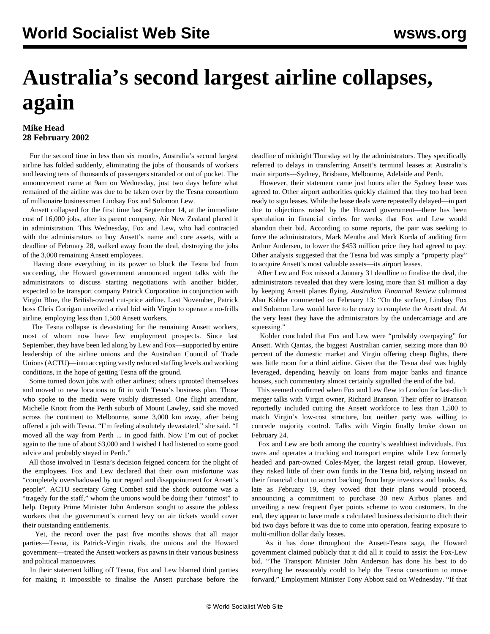## **Australia's second largest airline collapses, again**

## **Mike Head 28 February 2002**

 For the second time in less than six months, Australia's second largest airline has folded suddenly, eliminating the jobs of thousands of workers and leaving tens of thousands of passengers stranded or out of pocket. The announcement came at 9am on Wednesday, just two days before what remained of the airline was due to be taken over by the Tesna consortium of millionaire businessmen Lindsay Fox and Solomon Lew.

 Ansett collapsed for the first time last September 14, at the immediate cost of 16,000 jobs, after its parent company, Air New Zealand placed it in administration. This Wednesday, Fox and Lew, who had contracted with the administrators to buy Ansett's name and core assets, with a deadline of February 28, walked away from the deal, destroying the jobs of the 3,000 remaining Ansett employees.

 Having done everything in its power to block the Tesna bid from succeeding, the Howard government announced urgent talks with the administrators to discuss starting negotiations with another bidder, expected to be transport company Patrick Corporation in conjunction with Virgin Blue, the British-owned cut-price airline. Last November, Patrick boss Chris Corrigan unveiled a rival bid with Virgin to operate a no-frills airline, employing less than 1,500 Ansett workers.

 The Tesna collapse is devastating for the remaining Ansett workers, most of whom now have few employment prospects. Since last September, they have been led along by Lew and Fox—supported by entire leadership of the airline unions and the Australian Council of Trade Unions (ACTU)—into accepting vastly reduced staffing levels and working conditions, in the hope of getting Tesna off the ground.

 Some turned down jobs with other airlines; others uprooted themselves and moved to new locations to fit in with Tesna's business plan. Those who spoke to the media were visibly distressed. One flight attendant, Michelle Knott from the Perth suburb of Mount Lawley, said she moved across the continent to Melbourne, some 3,000 km away, after being offered a job with Tesna. "I'm feeling absolutely devastated," she said. "I moved all the way from Perth ... in good faith. Now I'm out of pocket again to the tune of about \$3,000 and I wished I had listened to some good advice and probably stayed in Perth."

 All those involved in Tesna's decision feigned concern for the plight of the employees. Fox and Lew declared that their own misfortune was "completely overshadowed by our regard and disappointment for Ansett's people". ACTU secretary Greg Combet said the shock outcome was a "tragedy for the staff," whom the unions would be doing their "utmost" to help. Deputy Prime Minister John Anderson sought to assure the jobless workers that the government's current levy on air tickets would cover their outstanding entitlements.

 Yet, the record over the past five months shows that all major parties—Tesna, its Patrick-Virgin rivals, the unions and the Howard government—treated the Ansett workers as pawns in their various business and political manoeuvres.

 In their statement killing off Tesna, Fox and Lew blamed third parties for making it impossible to finalise the Ansett purchase before the deadline of midnight Thursday set by the administrators. They specifically referred to delays in transferring Ansett's terminal leases at Australia's main airports—Sydney, Brisbane, Melbourne, Adelaide and Perth.

 However, their statement came just hours after the Sydney lease was agreed to. Other airport authorities quickly claimed that they too had been ready to sign leases. While the lease deals were repeatedly delayed—in part due to objections raised by the Howard government—there has been speculation in financial circles for weeks that Fox and Lew would abandon their bid. According to some reports, the pair was seeking to force the administrators, Mark Mentha and Mark Korda of auditing firm Arthur Andersen, to lower the \$453 million price they had agreed to pay. Other analysts suggested that the Tesna bid was simply a "property play" to acquire Ansett's most valuable assets—its airport leases.

 After Lew and Fox missed a January 31 deadline to finalise the deal, the administrators revealed that they were losing more than \$1 million a day by keeping Ansett planes flying. *Australian Financial Review* columnist Alan Kohler commented on February 13: "On the surface, Lindsay Fox and Solomon Lew would have to be crazy to complete the Ansett deal. At the very least they have the administrators by the undercarriage and are squeezing."

 Kohler concluded that Fox and Lew were "probably overpaying" for Ansett. With Qantas, the biggest Australian carrier, seizing more than 80 percent of the domestic market and Virgin offering cheap flights, there was little room for a third airline. Given that the Tesna deal was highly leveraged, depending heavily on loans from major banks and finance houses, such commentary almost certainly signalled the end of the bid.

 This seemed confirmed when Fox and Lew flew to London for last-ditch merger talks with Virgin owner, Richard Branson. Their offer to Branson reportedly included cutting the Ansett workforce to less than 1,500 to match Virgin's low-cost structure, but neither party was willing to concede majority control. Talks with Virgin finally broke down on February 24.

 Fox and Lew are both among the country's wealthiest individuals. Fox owns and operates a trucking and transport empire, while Lew formerly headed and part-owned Coles-Myer, the largest retail group. However, they risked little of their own funds in the Tesna bid, relying instead on their financial clout to attract backing from large investors and banks. As late as February 19, they vowed that their plans would proceed, announcing a commitment to purchase 30 new Airbus planes and unveiling a new frequent flyer points scheme to woo customers. In the end, they appear to have made a calculated business decision to ditch their bid two days before it was due to come into operation, fearing exposure to multi-million dollar daily losses.

 As it has done throughout the Ansett-Tesna saga, the Howard government claimed publicly that it did all it could to assist the Fox-Lew bid. "The Transport Minister John Anderson has done his best to do everything he reasonably could to help the Tesna consortium to move forward," Employment Minister Tony Abbott said on Wednesday. "If that